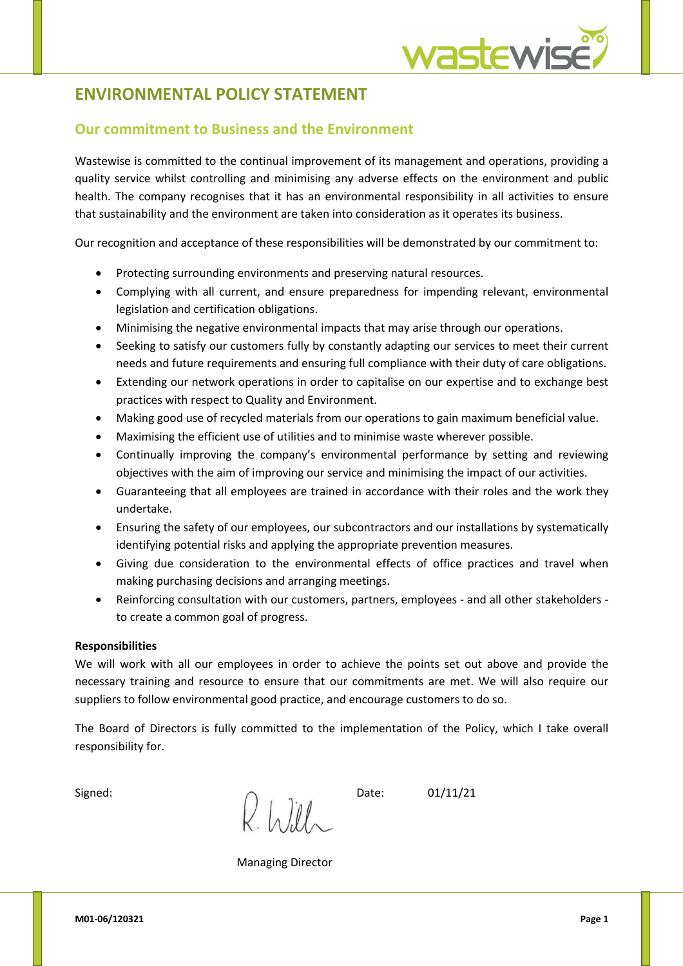## **ENVIRONMENTAL POLICY STATEMENT**

## **Our commitment to Business and the Environment**

Wastewise is committed to the continual improvement of its management and operations, providing a quality service whilst controlling and minimising any adverse effects on the environment and public health. The company recognises that it has an environmental responsibility in all activities to ensure that sustainability and the environment are taken into consideration as it operates its business.

Our recognition and acceptance of these responsibilities will be demonstrated by our commitment to:

- Protecting surrounding environments and preserving natural resources.
- Complying with all current, and ensure preparedness for impending relevant, environmental legislation and certification obligations.
- Minimising the negative environmental impacts that may arise through our operations.
- Seeking to satisfy our customers fully by constantly adapting our services to meet their current needs and future requirements and ensuring full compliance with their duty of care obligations.
- Extending our network operations in order to capitalise on our expertise and to exchange best practices with respect to Quality and Environment.
- Making good use of recycled materials from our operations to gain maximum beneficial value.
- Maximising the efficient use of utilities and to minimise waste wherever possible.
- Continually improving the company's environmental performance by setting and reviewing objectives with the aim of improving our service and minimising the impact of our activities.
- Guaranteeing that all employees are trained in accordance with their roles and the work they undertake.
- Ensuring the safety of our employees, our subcontractors and our installations by systematically identifying potential risks and applying the appropriate prevention measures.
- Giving due consideration to the environmental effects of office practices and travel when making purchasing decisions and arranging meetings.
- Reinforcing consultation with our customers, partners, employees and all other stakeholders to create a common goal of progress.

## **Responsibilities**

We will work with all our employees in order to achieve the points set out above and provide the necessary training and resource to ensure that our commitments are met. We will also require our suppliers to follow environmental good practice, and encourage customers to do so.

The Board of Directors is fully committed to the implementation of the Policy, which I take overall responsibility for.

Signed:  $\bigcup_{\alpha} \int_{\alpha} \int_{\alpha} \int_{\alpha} \int_{\alpha} \int_{\alpha} \int_{\alpha}$  Date: 01/11/21

Managing Director